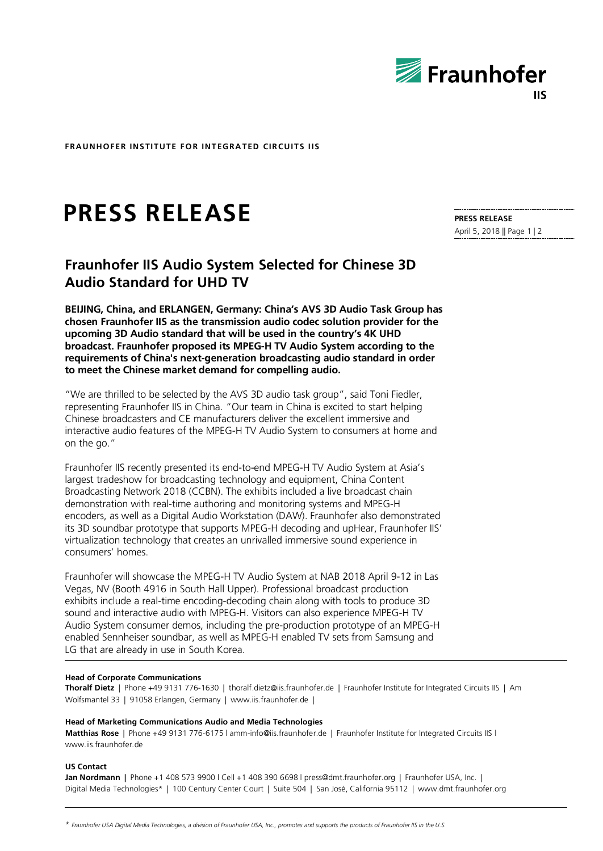

**FRAUNHOFER INSTITUTE FOR INTEGRATED CIRCUITS IIS**

# **PRESS RELEASE**

**PRESS RELEASE** April 5, 2018 || Page 1 | 2

# **Fraunhofer IIS Audio System Selected for Chinese 3D Audio Standard for UHD TV**

**BEIJING, China, and ERLANGEN, Germany: China's AVS 3D Audio Task Group has chosen Fraunhofer IIS as the transmission audio codec solution provider for the upcoming 3D Audio standard that will be used in the country's 4K UHD broadcast. Fraunhofer proposed its MPEG-H TV Audio System according to the requirements of China's next-generation broadcasting audio standard in order to meet the Chinese market demand for compelling audio.**

"We are thrilled to be selected by the AVS 3D audio task group", said Toni Fiedler, representing Fraunhofer IIS in China. "Our team in China is excited to start helping Chinese broadcasters and CE manufacturers deliver the excellent immersive and interactive audio features of the MPEG-H TV Audio System to consumers at home and on the go."

Fraunhofer IIS recently presented its end-to-end MPEG-H TV Audio System at Asia's largest tradeshow for broadcasting technology and equipment, China Content Broadcasting Network 2018 (CCBN). The exhibits included a live broadcast chain demonstration with real-time authoring and monitoring systems and MPEG-H encoders, as well as a Digital Audio Workstation (DAW). Fraunhofer also demonstrated its 3D soundbar prototype that supports MPEG-H decoding and upHear, Fraunhofer IIS' virtualization technology that creates an unrivalled immersive sound experience in consumers' homes.

Fraunhofer will showcase the MPEG-H TV Audio System at NAB 2018 April 9-12 in Las Vegas, NV (Booth 4916 in South Hall Upper). Professional broadcast production exhibits include a real-time encoding-decoding chain along with tools to produce 3D sound and interactive audio with MPEG-H. Visitors can also experience MPEG-H TV Audio System consumer demos, including the pre-production prototype of an MPEG-H enabled Sennheiser soundbar, as well as MPEG-H enabled TV sets from Samsung and LG that are already in use in South Korea.

#### **Head of Corporate Communications**

**Thoralf Dietz** | Phone +49 9131 776-1630 | thoralf.dietz@iis.fraunhofer.de | Fraunhofer Institute for Integrated Circuits IIS | Am Wolfsmantel 33 | 91058 Erlangen, Germany | www.iis.fraunhofer.de |

#### **Head of Marketing Communications Audio and Media Technologies**

**Matthias Rose** | Phone +49 9131 776-6175 l amm-info@iis.fraunhofer.de | Fraunhofer Institute for Integrated Circuits IIS l www.iis.fraunhofer.de

#### **US Contact**

**Jan Nordmann |** Phone +1 408 573 9900 l Cell +1 408 390 6698 l press@dmt.fraunhofer.org | Fraunhofer USA, Inc. | Digital Media Technologies\* | 100 Century Center Court | Suite 504 | San José, California 95112 | www.dmt.fraunhofer.org